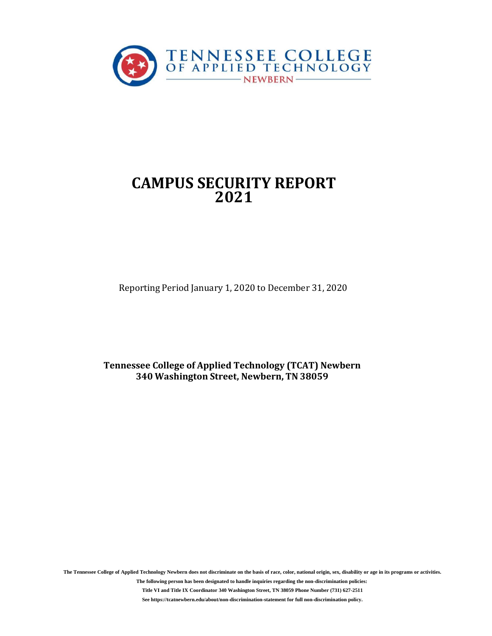

# **CAMPUS SECURITY REPORT 2021**

Reporting Period January 1, 2020 to December 31, 2020

**Tennessee College of Applied Technology (TCAT) Newbern 340 Washington Street, Newbern, TN 38059**

**The Tennessee College of Applied Technology Newbern does not discriminate on the basis of race, color, national origin, sex, disability or age in its programs or activities.**

**The following person has been designated to handle inquiries regarding the non-discrimination policies: Title VI and Title IX Coordinator 340 Washington Street, TN 38059 Phone Number (731) 627-2511 See https://tcatnewbern.edu/about/non-discrimination-statement for full non-discrimination policy.**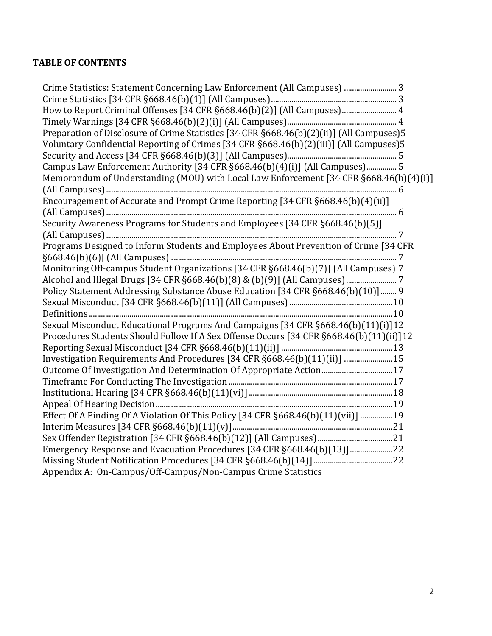# **TABLE OF CONTENTS**

| How to Report Criminal Offenses [34 CFR §668.46(b)(2)] (All Campuses) 4<br>Preparation of Disclosure of Crime Statistics [34 CFR §668.46(b)(2)(ii)] (All Campuses)5<br>Voluntary Confidential Reporting of Crimes [34 CFR §668.46(b)(2)(iii)] (All Campuses)5<br>Campus Law Enforcement Authority [34 CFR §668.46(b)(4)(i)] (All Campuses) 5<br>Memorandum of Understanding (MOU) with Local Law Enforcement [34 CFR §668.46(b)(4)(i)]<br>Encouragement of Accurate and Prompt Crime Reporting [34 CFR §668.46(b)(4)(ii)]<br>Security Awareness Programs for Students and Employees [34 CFR §668.46(b)(5)]<br>Programs Designed to Inform Students and Employees About Prevention of Crime [34 CFR<br>Monitoring Off-campus Student Organizations [34 CFR §668.46(b)(7)] (All Campuses) 7<br>Alcohol and Illegal Drugs [34 CFR §668.46(b)(8) & (b)(9)] (All Campuses)  7<br>Policy Statement Addressing Substance Abuse Education [34 CFR §668.46(b)(10)] 9<br>Sexual Misconduct Educational Programs And Campaigns [34 CFR §668.46(b)(11)(i)]12<br>Procedures Students Should Follow If A Sex Offense Occurs [34 CFR §668.46(b)(11)(ii)]12<br>Investigation Requirements And Procedures [34 CFR §668.46(b)(11)(ii)]  15<br>Outcome Of Investigation And Determination Of Appropriate Action17<br>Effect Of A Finding Of A Violation Of This Policy [34 CFR §668.46(b)(11)(vii)] 19<br>Emergency Response and Evacuation Procedures [34 CFR §668.46(b)(13)]22<br>Appendix A: On-Campus/Off-Campus/Non-Campus Crime Statistics | Crime Statistics: Statement Concerning Law Enforcement (All Campuses)  3 |  |
|-------------------------------------------------------------------------------------------------------------------------------------------------------------------------------------------------------------------------------------------------------------------------------------------------------------------------------------------------------------------------------------------------------------------------------------------------------------------------------------------------------------------------------------------------------------------------------------------------------------------------------------------------------------------------------------------------------------------------------------------------------------------------------------------------------------------------------------------------------------------------------------------------------------------------------------------------------------------------------------------------------------------------------------------------------------------------------------------------------------------------------------------------------------------------------------------------------------------------------------------------------------------------------------------------------------------------------------------------------------------------------------------------------------------------------------------------------------------------------------------------------------------------------|--------------------------------------------------------------------------|--|
|                                                                                                                                                                                                                                                                                                                                                                                                                                                                                                                                                                                                                                                                                                                                                                                                                                                                                                                                                                                                                                                                                                                                                                                                                                                                                                                                                                                                                                                                                                                               |                                                                          |  |
|                                                                                                                                                                                                                                                                                                                                                                                                                                                                                                                                                                                                                                                                                                                                                                                                                                                                                                                                                                                                                                                                                                                                                                                                                                                                                                                                                                                                                                                                                                                               |                                                                          |  |
|                                                                                                                                                                                                                                                                                                                                                                                                                                                                                                                                                                                                                                                                                                                                                                                                                                                                                                                                                                                                                                                                                                                                                                                                                                                                                                                                                                                                                                                                                                                               |                                                                          |  |
|                                                                                                                                                                                                                                                                                                                                                                                                                                                                                                                                                                                                                                                                                                                                                                                                                                                                                                                                                                                                                                                                                                                                                                                                                                                                                                                                                                                                                                                                                                                               |                                                                          |  |
|                                                                                                                                                                                                                                                                                                                                                                                                                                                                                                                                                                                                                                                                                                                                                                                                                                                                                                                                                                                                                                                                                                                                                                                                                                                                                                                                                                                                                                                                                                                               |                                                                          |  |
|                                                                                                                                                                                                                                                                                                                                                                                                                                                                                                                                                                                                                                                                                                                                                                                                                                                                                                                                                                                                                                                                                                                                                                                                                                                                                                                                                                                                                                                                                                                               |                                                                          |  |
|                                                                                                                                                                                                                                                                                                                                                                                                                                                                                                                                                                                                                                                                                                                                                                                                                                                                                                                                                                                                                                                                                                                                                                                                                                                                                                                                                                                                                                                                                                                               |                                                                          |  |
|                                                                                                                                                                                                                                                                                                                                                                                                                                                                                                                                                                                                                                                                                                                                                                                                                                                                                                                                                                                                                                                                                                                                                                                                                                                                                                                                                                                                                                                                                                                               |                                                                          |  |
|                                                                                                                                                                                                                                                                                                                                                                                                                                                                                                                                                                                                                                                                                                                                                                                                                                                                                                                                                                                                                                                                                                                                                                                                                                                                                                                                                                                                                                                                                                                               |                                                                          |  |
|                                                                                                                                                                                                                                                                                                                                                                                                                                                                                                                                                                                                                                                                                                                                                                                                                                                                                                                                                                                                                                                                                                                                                                                                                                                                                                                                                                                                                                                                                                                               |                                                                          |  |
|                                                                                                                                                                                                                                                                                                                                                                                                                                                                                                                                                                                                                                                                                                                                                                                                                                                                                                                                                                                                                                                                                                                                                                                                                                                                                                                                                                                                                                                                                                                               |                                                                          |  |
|                                                                                                                                                                                                                                                                                                                                                                                                                                                                                                                                                                                                                                                                                                                                                                                                                                                                                                                                                                                                                                                                                                                                                                                                                                                                                                                                                                                                                                                                                                                               |                                                                          |  |
|                                                                                                                                                                                                                                                                                                                                                                                                                                                                                                                                                                                                                                                                                                                                                                                                                                                                                                                                                                                                                                                                                                                                                                                                                                                                                                                                                                                                                                                                                                                               |                                                                          |  |
|                                                                                                                                                                                                                                                                                                                                                                                                                                                                                                                                                                                                                                                                                                                                                                                                                                                                                                                                                                                                                                                                                                                                                                                                                                                                                                                                                                                                                                                                                                                               |                                                                          |  |
|                                                                                                                                                                                                                                                                                                                                                                                                                                                                                                                                                                                                                                                                                                                                                                                                                                                                                                                                                                                                                                                                                                                                                                                                                                                                                                                                                                                                                                                                                                                               |                                                                          |  |
|                                                                                                                                                                                                                                                                                                                                                                                                                                                                                                                                                                                                                                                                                                                                                                                                                                                                                                                                                                                                                                                                                                                                                                                                                                                                                                                                                                                                                                                                                                                               |                                                                          |  |
|                                                                                                                                                                                                                                                                                                                                                                                                                                                                                                                                                                                                                                                                                                                                                                                                                                                                                                                                                                                                                                                                                                                                                                                                                                                                                                                                                                                                                                                                                                                               |                                                                          |  |
|                                                                                                                                                                                                                                                                                                                                                                                                                                                                                                                                                                                                                                                                                                                                                                                                                                                                                                                                                                                                                                                                                                                                                                                                                                                                                                                                                                                                                                                                                                                               |                                                                          |  |
|                                                                                                                                                                                                                                                                                                                                                                                                                                                                                                                                                                                                                                                                                                                                                                                                                                                                                                                                                                                                                                                                                                                                                                                                                                                                                                                                                                                                                                                                                                                               |                                                                          |  |
|                                                                                                                                                                                                                                                                                                                                                                                                                                                                                                                                                                                                                                                                                                                                                                                                                                                                                                                                                                                                                                                                                                                                                                                                                                                                                                                                                                                                                                                                                                                               |                                                                          |  |
|                                                                                                                                                                                                                                                                                                                                                                                                                                                                                                                                                                                                                                                                                                                                                                                                                                                                                                                                                                                                                                                                                                                                                                                                                                                                                                                                                                                                                                                                                                                               |                                                                          |  |
|                                                                                                                                                                                                                                                                                                                                                                                                                                                                                                                                                                                                                                                                                                                                                                                                                                                                                                                                                                                                                                                                                                                                                                                                                                                                                                                                                                                                                                                                                                                               |                                                                          |  |
|                                                                                                                                                                                                                                                                                                                                                                                                                                                                                                                                                                                                                                                                                                                                                                                                                                                                                                                                                                                                                                                                                                                                                                                                                                                                                                                                                                                                                                                                                                                               |                                                                          |  |
|                                                                                                                                                                                                                                                                                                                                                                                                                                                                                                                                                                                                                                                                                                                                                                                                                                                                                                                                                                                                                                                                                                                                                                                                                                                                                                                                                                                                                                                                                                                               |                                                                          |  |
|                                                                                                                                                                                                                                                                                                                                                                                                                                                                                                                                                                                                                                                                                                                                                                                                                                                                                                                                                                                                                                                                                                                                                                                                                                                                                                                                                                                                                                                                                                                               |                                                                          |  |
|                                                                                                                                                                                                                                                                                                                                                                                                                                                                                                                                                                                                                                                                                                                                                                                                                                                                                                                                                                                                                                                                                                                                                                                                                                                                                                                                                                                                                                                                                                                               |                                                                          |  |
|                                                                                                                                                                                                                                                                                                                                                                                                                                                                                                                                                                                                                                                                                                                                                                                                                                                                                                                                                                                                                                                                                                                                                                                                                                                                                                                                                                                                                                                                                                                               |                                                                          |  |
|                                                                                                                                                                                                                                                                                                                                                                                                                                                                                                                                                                                                                                                                                                                                                                                                                                                                                                                                                                                                                                                                                                                                                                                                                                                                                                                                                                                                                                                                                                                               |                                                                          |  |
|                                                                                                                                                                                                                                                                                                                                                                                                                                                                                                                                                                                                                                                                                                                                                                                                                                                                                                                                                                                                                                                                                                                                                                                                                                                                                                                                                                                                                                                                                                                               |                                                                          |  |
|                                                                                                                                                                                                                                                                                                                                                                                                                                                                                                                                                                                                                                                                                                                                                                                                                                                                                                                                                                                                                                                                                                                                                                                                                                                                                                                                                                                                                                                                                                                               |                                                                          |  |
|                                                                                                                                                                                                                                                                                                                                                                                                                                                                                                                                                                                                                                                                                                                                                                                                                                                                                                                                                                                                                                                                                                                                                                                                                                                                                                                                                                                                                                                                                                                               |                                                                          |  |
|                                                                                                                                                                                                                                                                                                                                                                                                                                                                                                                                                                                                                                                                                                                                                                                                                                                                                                                                                                                                                                                                                                                                                                                                                                                                                                                                                                                                                                                                                                                               |                                                                          |  |
|                                                                                                                                                                                                                                                                                                                                                                                                                                                                                                                                                                                                                                                                                                                                                                                                                                                                                                                                                                                                                                                                                                                                                                                                                                                                                                                                                                                                                                                                                                                               |                                                                          |  |
|                                                                                                                                                                                                                                                                                                                                                                                                                                                                                                                                                                                                                                                                                                                                                                                                                                                                                                                                                                                                                                                                                                                                                                                                                                                                                                                                                                                                                                                                                                                               |                                                                          |  |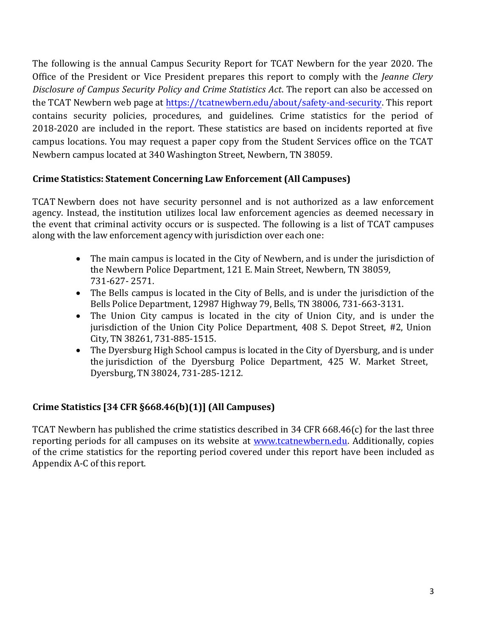The following is the annual Campus Security Report for TCAT Newbern for the year 2020. The Office of the President or Vice President prepares this report to comply with the *Jeanne Clery Disclosure of Campus Security Policy and Crime Statistics Act*. The report can also be accessed on the TCAT Newbern w[eb page at https://tcatnewbern.edu/about/safety-and-s](https://tcatnewbern.edu/about/safety-and-security)ecurity. This report contains security policies, procedures, and guidelines. Crime statistics for the period of 2018-2020 are included in the report. These statistics are based on incidents reported at five campus locations. You may request a paper copy from the Student Services office on the TCAT Newbern campus located at 340 Washington Street, Newbern, TN 38059.

# **Crime Statistics: Statement Concerning Law Enforcement (All Campuses)**

TCAT Newbern does not have security personnel and is not authorized as a law enforcement agency. Instead, the institution utilizes local law enforcement agencies as deemed necessary in the event that criminal activity occurs or is suspected. The following is a list of TCAT campuses along with the law enforcement agency with jurisdiction over each one:

- The main campus is located in the City of Newbern, and is under the jurisdiction of the Newbern Police Department, 121 E. Main Street, Newbern, TN 38059, 731-627- 2571.
- The Bells campus is located in the City of Bells, and is under the jurisdiction of the Bells Police Department, 12987 Highway 79, Bells, TN 38006, 731-663-3131.
- The Union City campus is located in the city of Union City, and is under the jurisdiction of the Union City Police Department, 408 S. Depot Street, #2, Union City, TN 38261, 731-885-1515.
- The Dyersburg High School campus is located in the City of Dyersburg, and is under the jurisdiction of the Dyersburg Police Department, 425 W. Market Street, Dyersburg, TN 38024, 731-285-1212.

# **Crime Statistics [34 CFR §668.46(b)(1)] (All Campuses)**

TCAT Newbern has published the crime statistics described in 34 CFR 668.46(c) for the last three reporting periods for all campuses on its website at [www.tcatnewbern.edu.](http://www.tcatnewbern.edu/) Additionally, copies of the crime statistics for the reporting period covered under this report have been included as Appendix A-C of this report.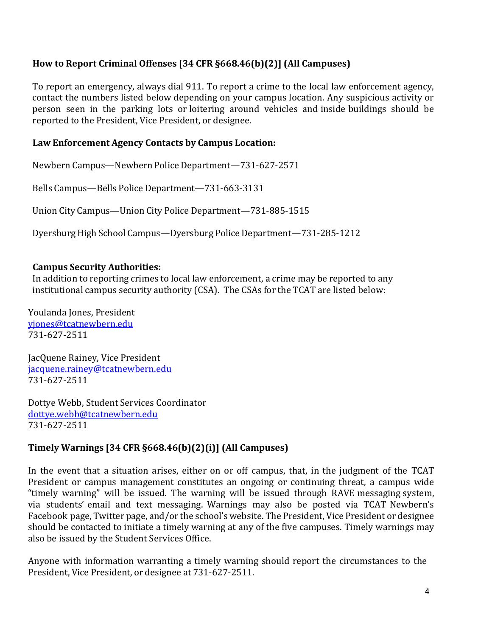# **How to Report Criminal Offenses [34 CFR §668.46(b)(2)] (All Campuses)**

To report an emergency, always dial 911. To report a crime to the local law enforcement agency, contact the numbers listed below depending on your campus location. Any suspicious activity or person seen in the parking lots or loitering around vehicles and inside buildings should be reported to the President, Vice President, or designee.

### **Law Enforcement Agency Contacts by Campus Location:**

Newbern Campus—Newbern Police Department—731-627-2571

Bells Campus—Bells Police Department—731-663-3131

Union City Campus—Union City Police Department—731-885-1515

Dyersburg High School Campus—Dyersburg Police Department—731-285-1212

### **Campus Security Authorities:**

In addition to reporting crimes to local law enforcement, a crime may be reported to any institutional campus security authority (CSA). The CSAs for the TCAT are listed below:

Youlanda Jones, President [yjones@tcatnewbern.edu](mailto:yjones@tcatnewbern.edu) 731-627-2511

JacQuene Rainey, Vice President [jacquene.rainey@tcatnewbern.edu](mailto:jacquene.rainey@tcatnewbern.edu) 731-627-2511

Dottye Webb, Student Services Coordinator [dottye.webb@tcatnewbern.edu](mailto:dottye.webb@tcatnewbern.edu) 731-627-2511

# **Timely Warnings [34 CFR §668.46(b)(2)(i)] (All Campuses)**

In the event that a situation arises, either on or off campus, that, in the judgment of the TCAT President or campus management constitutes an ongoing or continuing threat, a campus wide "timely warning" will be issued. The warning will be issued through RAVE messaging system, via students' email and text messaging. Warnings may also be posted via TCAT Newbern's Facebook page, Twitter page, and/or the school's website. The President, Vice President or designee should be contacted to initiate a timely warning at any of the five campuses. Timely warnings may also be issued by the Student Services Office.

Anyone with information warranting a timely warning should report the circumstances to the President, Vice President, or designee at 731-627-2511.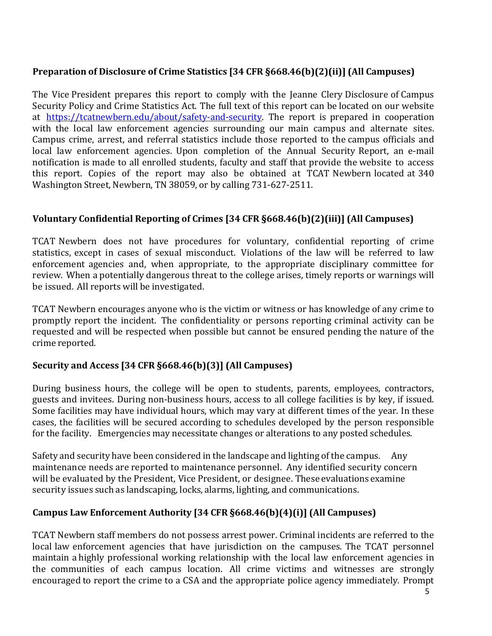# **Preparation of Disclosure of Crime Statistics [34 CFR §668.46(b)(2)(ii)] (All Campuses)**

The Vice President prepares this report to comply with the Jeanne Clery Disclosure of Campus Security Policy and Crime Statistics Act. The full text of this report can be located on our website at [https://tcatnewbern.edu/about/safety-and-security.](https://tcatnewbern.edu/about/safety-and-security) The report is prepared in cooperation with the local law enforcement agencies surrounding our main campus and alternate sites. Campus crime, arrest, and referral statistics include those reported to the campus officials and local law enforcement agencies. Upon completion of the Annual Security Report, an e-mail notification is made to all enrolled students, faculty and staff that provide the website to access this report. Copies of the report may also be obtained at TCAT Newbern located at 340 Washington Street, Newbern, TN 38059, or by calling 731-627-2511.

# **Voluntary Confidential Reporting of Crimes [34 CFR §668.46(b)(2)(iii)] (All Campuses)**

TCAT Newbern does not have procedures for voluntary, confidential reporting of crime statistics, except in cases of sexual misconduct. Violations of the law will be referred to law enforcement agencies and, when appropriate, to the appropriate disciplinary committee for review. When a potentially dangerous threat to the college arises, timely reports or warnings will be issued. All reports will be investigated.

TCAT Newbern encourages anyone who is the victim or witness or has knowledge of any crime to promptly report the incident. The confidentiality or persons reporting criminal activity can be requested and will be respected when possible but cannot be ensured pending the nature of the crime reported.

### **Security and Access [34 CFR §668.46(b)(3)] (All Campuses)**

During business hours, the college will be open to students, parents, employees, contractors, guests and invitees. During non-business hours, access to all college facilities is by key, if issued. Some facilities may have individual hours, which may vary at different times of the year. In these cases, the facilities will be secured according to schedules developed by the person responsible for the facility. Emergencies may necessitate changes or alterations to any posted schedules.

Safety and security have been considered in the landscape and lighting of the campus. Any maintenance needs are reported to maintenance personnel. Any identified security concern will be evaluated by the President, Vice President, or designee. These evaluations examine security issues such as landscaping, locks, alarms, lighting, and communications.

# **Campus Law Enforcement Authority [34 CFR §668.46(b)(4)(i)] (All Campuses)**

TCAT Newbern staff members do not possess arrest power. Criminal incidents are referred to the local law enforcement agencies that have jurisdiction on the campuses. The TCAT personnel maintain a highly professional working relationship with the local law enforcement agencies in the communities of each campus location. All crime victims and witnesses are strongly encouraged to report the crime to a CSA and the appropriate police agency immediately. Prompt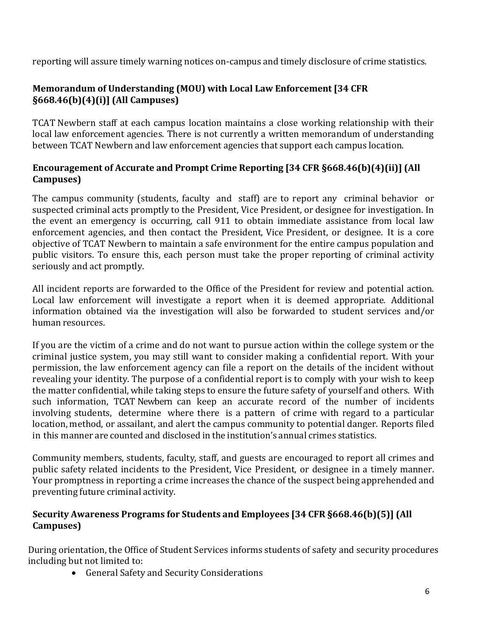reporting will assure timely warning notices on-campus and timely disclosure of crime statistics.

# **Memorandum of Understanding (MOU) with Local Law Enforcement [34 CFR §668.46(b)(4)(i)] (All Campuses)**

TCAT Newbern staff at each campus location maintains a close working relationship with their local law enforcement agencies. There is not currently a written memorandum of understanding between TCAT Newbern and law enforcement agencies that support each campus location.

# **Encouragement of Accurate and Prompt Crime Reporting [34 CFR §668.46(b)(4)(ii)] (All Campuses)**

The campus community (students, faculty and staff) are to report any criminal behavior or suspected criminal acts promptly to the President, Vice President, or designee for investigation. In the event an emergency is occurring, call 911 to obtain immediate assistance from local law enforcement agencies, and then contact the President, Vice President, or designee. It is a core objective of TCAT Newbern to maintain a safe environment for the entire campus population and public visitors. To ensure this, each person must take the proper reporting of criminal activity seriously and act promptly.

All incident reports are forwarded to the Office of the President for review and potential action. Local law enforcement will investigate a report when it is deemed appropriate. Additional information obtained via the investigation will also be forwarded to student services and/or human resources.

If you are the victim of a crime and do not want to pursue action within the college system or the criminal justice system, you may still want to consider making a confidential report. With your permission, the law enforcement agency can file a report on the details of the incident without revealing your identity. The purpose of a confidential report is to comply with your wish to keep the matter confidential, while taking steps to ensure the future safety of yourself and others. With such information, TCAT Newbern can keep an accurate record of the number of incidents involving students, determine where there is a pattern of crime with regard to a particular location, method, or assailant, and alert the campus community to potential danger. Reports filed in this manner are counted and disclosed in the institution's annual crimes statistics.

Community members, students, faculty, staff, and guests are encouraged to report all crimes and public safety related incidents to the President, Vice President, or designee in a timely manner. Your promptness in reporting a crime increases the chance of the suspect being apprehended and preventing future criminal activity.

# **Security Awareness Programs for Students and Employees [34 CFR §668.46(b)(5)] (All Campuses)**

During orientation, the Office of Student Services informs students of safety and security procedures including but not limited to:

• General Safety and Security Considerations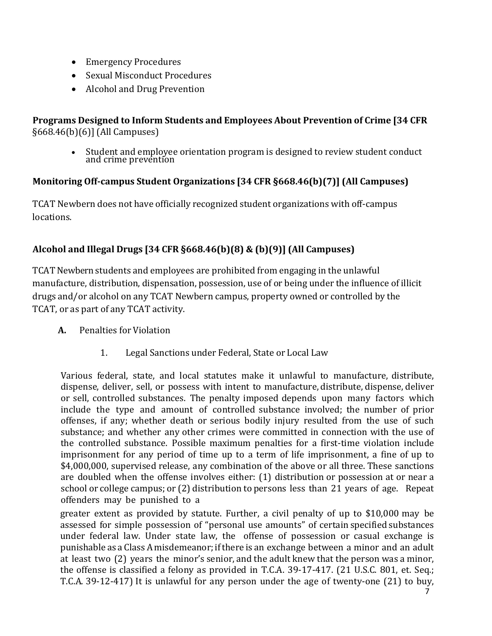- Emergency Procedures
- Sexual Misconduct Procedures
- Alcohol and Drug Prevention

# **Programs Designed to Inform Students and Employees About Prevention of Crime [34 CFR** §668.46(b)(6)] (All Campuses)

• Student and employee orientation program is designed to review student conduct and crime prevention

# **Monitoring Off-campus Student Organizations [34 CFR §668.46(b)(7)] (All Campuses)**

TCAT Newbern does not have officially recognized student organizations with off-campus locations.

# **Alcohol and Illegal Drugs [34 CFR §668.46(b)(8) & (b)(9)] (All Campuses)**

TCAT Newbern students and employees are prohibited from engaging in the unlawful manufacture, distribution, dispensation, possession, use of or being under the influence of illicit drugs and/or alcohol on any TCAT Newbern campus, property owned or controlled by the TCAT, or as part of any TCAT activity.

- **A.** Penalties for Violation
	- 1. Legal Sanctions under Federal, State or Local Law

Various federal, state, and local statutes make it unlawful to manufacture, distribute, dispense, deliver, sell, or possess with intent to manufacture, distribute, dispense, deliver or sell, controlled substances. The penalty imposed depends upon many factors which include the type and amount of controlled substance involved; the number of prior offenses, if any; whether death or serious bodily injury resulted from the use of such substance; and whether any other crimes were committed in connection with the use of the controlled substance. Possible maximum penalties for a first-time violation include imprisonment for any period of time up to a term of life imprisonment, a fine of up to \$4,000,000, supervised release, any combination of the above or all three. These sanctions are doubled when the offense involves either: (1) distribution or possession at or near a school or college campus; or (2) distribution to persons less than 21 years of age. Repeat offenders may be punished to a

greater extent as provided by statute. Further, a civil penalty of up to \$10,000 may be assessed for simple possession of "personal use amounts" of certain specified substances under federal law. Under state law, the offense of possession or casual exchange is punishable as a Class A misdemeanor; ifthere is an exchange between a minor and an adult at least two (2) years the minor's senior, and the adult knew that the person was a minor, the offense is classified a felony as provided in T.C.A. 39-17-417. (21 U.S.C. 801, et. Seq.; T.C.A. 39-12-417) It is unlawful for any person under the age of twenty-one (21) to buy,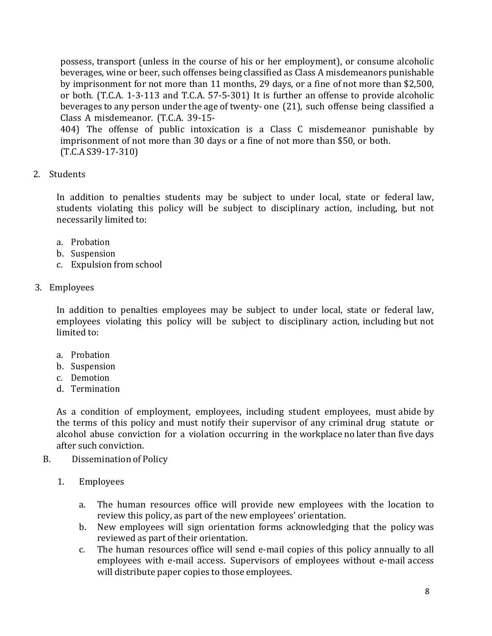possess, transport (unless in the course of his or her employment), or consume alcoholic beverages, wine or beer, such offenses being classified as Class A misdemeanors punishable by imprisonment for not more than 11 months, 29 days, or a fine of not more than \$2,500, or both. (T.C.A. 1-3-113 and T.C.A. 57-5-301) It is further an offense to provide alcoholic beverages to any person under the age of twenty- one (21), such offense being classified a Class A misdemeanor. (T.C.A. 39-15-

404) The offense of public intoxication is a Class C misdemeanor punishable by imprisonment of not more than 30 days or a fine of not more than \$50, or both. (T.C.A S39-17-310)

2. Students

In addition to penalties students may be subject to under local, state or federal law, students violating this policy will be subject to disciplinary action, including, but not necessarily limited to:

- a. Probation
- b. Suspension
- c. Expulsion from school
- 3. Employees

In addition to penalties employees may be subject to under local, state or federal law, employees violating this policy will be subject to disciplinary action, including but not limited to:

- a. Probation
- b. Suspension
- c. Demotion
- d. Termination

As a condition of employment, employees, including student employees, must abide by the terms of this policy and must notify their supervisor of any criminal drug statute or alcohol abuse conviction for a violation occurring in the workplace no later than five days after such conviction.

- B. Dissemination of Policy
	- 1. Employees
		- a. The human resources office will provide new employees with the location to review this policy, as part of the new employees' orientation.
		- b. New employees will sign orientation forms acknowledging that the policy was reviewed as part of their orientation.
		- c. The human resources office will send e-mail copies of this policy annually to all employees with e-mail access. Supervisors of employees without e-mail access will distribute paper copies to those employees.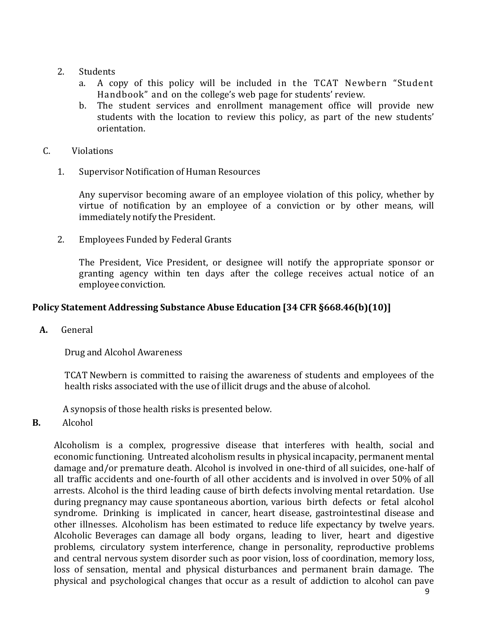#### 2. Students

- a. A copy of this policy will be included in the TCAT Newbern "Student Handbook" and on the college's web page for students' review.
- b. The student services and enrollment management office will provide new students with the location to review this policy, as part of the new students' orientation.
- C. Violations
	- 1. Supervisor Notification of Human Resources

Any supervisor becoming aware of an employee violation of this policy, whether by virtue of notification by an employee of a conviction or by other means, will immediately notify the President.

2. Employees Funded by Federal Grants

The President, Vice President, or designee will notify the appropriate sponsor or granting agency within ten days after the college receives actual notice of an employee conviction.

### **Policy Statement Addressing Substance Abuse Education [34 CFR §668.46(b)(10)]**

**A.** General

Drug and Alcohol Awareness

TCAT Newbern is committed to raising the awareness of students and employees of the health risks associated with the use of illicit drugs and the abuse of alcohol.

A synopsis of those health risks is presented below.

**B.** Alcohol

Alcoholism is a complex, progressive disease that interferes with health, social and economic functioning. Untreated alcoholism results in physical incapacity, permanent mental damage and/or premature death. Alcohol is involved in one-third of all suicides, one-half of all traffic accidents and one-fourth of all other accidents and is involved in over 50% of all arrests. Alcohol is the third leading cause of birth defects involving mental retardation. Use during pregnancy may cause spontaneous abortion, various birth defects or fetal alcohol syndrome. Drinking is implicated in cancer, heart disease, gastrointestinal disease and other illnesses. Alcoholism has been estimated to reduce life expectancy by twelve years. Alcoholic Beverages can damage all body organs, leading to liver, heart and digestive problems, circulatory system interference, change in personality, reproductive problems and central nervous system disorder such as poor vision, loss of coordination, memory loss, loss of sensation, mental and physical disturbances and permanent brain damage. The physical and psychological changes that occur as a result of addiction to alcohol can pave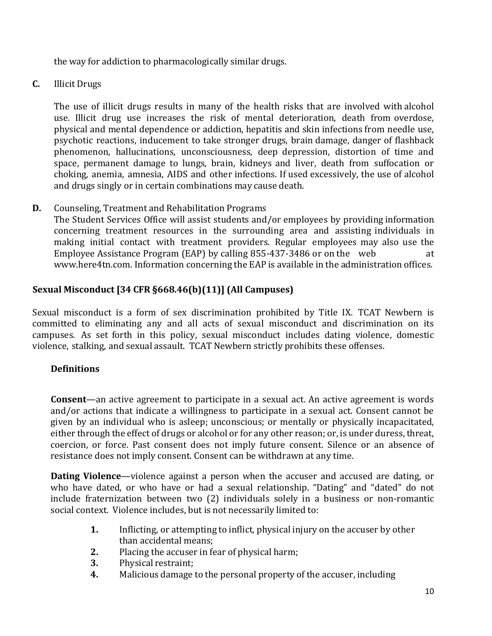the way for addiction to pharmacologically similar drugs.

**C.** Illicit Drugs

The use of illicit drugs results in many of the health risks that are involved with alcohol use. Illicit drug use increases the risk of mental deterioration, death from overdose, physical and mental dependence or addiction, hepatitis and skin infections from needle use, psychotic reactions, inducement to take stronger drugs, brain damage, danger of flashback phenomenon, hallucinations, unconsciousness, deep depression, distortion of time and space, permanent damage to lungs, brain, kidneys and liver, death from suffocation or choking, anemia, amnesia, AIDS and other infections. If used excessively, the use of alcohol and drugs singly or in certain combinations may cause death.

**D.** Counseling, Treatment and Rehabilitation Programs

The Student Services Office will assist students and/or employees by providing information concerning treatment resources in the surrounding area and assisting individuals in making initial contact with treatment providers. Regular employees may also use the Employee Assistance Program (EAP) by calling 855-437-3486 or on the web at [www.here4tn.com.](https://www.magellanassist.com/mem/default.aspx) Information concerning the EAP is available in the administration offices.

### **Sexual Misconduct [34 CFR §668.46(b)(11)] (All Campuses)**

Sexual misconduct is a form of sex discrimination prohibited by Title IX. TCAT Newbern is committed to eliminating any and all acts of sexual misconduct and discrimination on its campuses. As set forth in this policy, sexual misconduct includes dating violence, domestic violence, stalking, and sexual assault. TCAT Newbern strictly prohibits these offenses.

#### **Definitions**

**Consent**—an active agreement to participate in a sexual act. An active agreement is words and/or actions that indicate a willingness to participate in a sexual act. Consent cannot be given by an individual who is asleep; unconscious; or mentally or physically incapacitated, either through the effect of drugs or alcohol or for any other reason; or, is under duress, threat, coercion, or force. Past consent does not imply future consent. Silence or an absence of resistance does not imply consent. Consent can be withdrawn at any time.

**Dating Violence**—violence against a person when the accuser and accused are dating, or who have dated, or who have or had a sexual relationship. "Dating" and "dated" do not include fraternization between two (2) individuals solely in a business or non-romantic social context. Violence includes, but is not necessarily limited to:

- **1.** Inflicting, or attempting to inflict, physical injury on the accuser by other than accidental means;
- **2.** Placing the accuser in fear of physical harm;
- **3.** Physical restraint;
- **4.** Malicious damage to the personal property of the accuser, including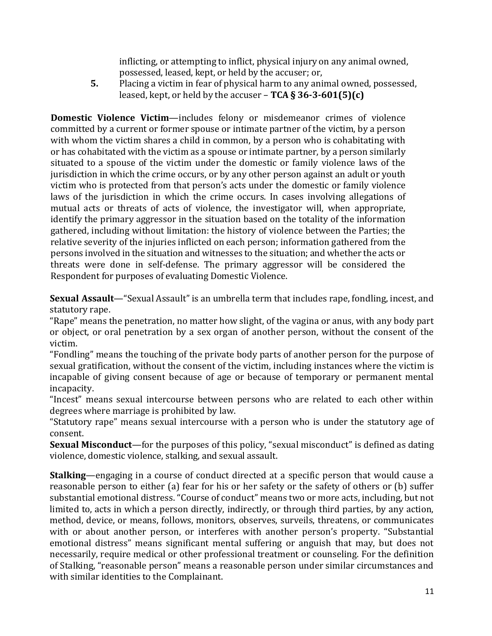inflicting, or attempting to inflict, physical injury on any animal owned, possessed, leased, kept, or held by the accuser; or,

**5.** Placing a victim in fear of physical harm to any animal owned, possessed, leased, kept, or held by the accuser – **TCA § 36-3-601(5)(c)**

**Domestic Violence Victim**—includes felony or misdemeanor crimes of violence committed by a current or former spouse or intimate partner of the victim, by a person with whom the victim shares a child in common, by a person who is cohabitating with or has cohabitated with the victim as a spouse or intimate partner, by a person similarly situated to a spouse of the victim under the domestic or family violence laws of the jurisdiction in which the crime occurs, or by any other person against an adult or youth victim who is protected from that person's acts under the domestic or family violence laws of the jurisdiction in which the crime occurs. In cases involving allegations of mutual acts or threats of acts of violence, the investigator will, when appropriate, identify the primary aggressor in the situation based on the totality of the information gathered, including without limitation: the history of violence between the Parties; the relative severity of the injuries inflicted on each person; information gathered from the persons involved in the situation and witnesses to the situation; and whether the acts or threats were done in self-defense. The primary aggressor will be considered the Respondent for purposes of evaluating Domestic Violence.

**Sexual Assault**—"Sexual Assault" is an umbrella term that includes rape, fondling, incest, and statutory rape.

"Rape" means the penetration, no matter how slight, of the vagina or anus, with any body part or object, or oral penetration by a sex organ of another person, without the consent of the victim.

"Fondling" means the touching of the private body parts of another person for the purpose of sexual gratification, without the consent of the victim, including instances where the victim is incapable of giving consent because of age or because of temporary or permanent mental incapacity.

"Incest" means sexual intercourse between persons who are related to each other within degrees where marriage is prohibited by law.

"Statutory rape" means sexual intercourse with a person who is under the statutory age of consent.

**Sexual Misconduct**—for the purposes of this policy, "sexual misconduct" is defined as dating violence, domestic violence, stalking, and sexual assault.

**Stalking**—engaging in a course of conduct directed at a specific person that would cause a reasonable person to either (a) fear for his or her safety or the safety of others or (b) suffer substantial emotional distress. "Course of conduct" means two or more acts, including, but not limited to, acts in which a person directly, indirectly, or through third parties, by any action, method, device, or means, follows, monitors, observes, surveils, threatens, or communicates with or about another person, or interferes with another person's property. "Substantial emotional distress" means significant mental suffering or anguish that may, but does not necessarily, require medical or other professional treatment or counseling. For the definition of Stalking, "reasonable person" means a reasonable person under similar circumstances and with similar identities to the Complainant.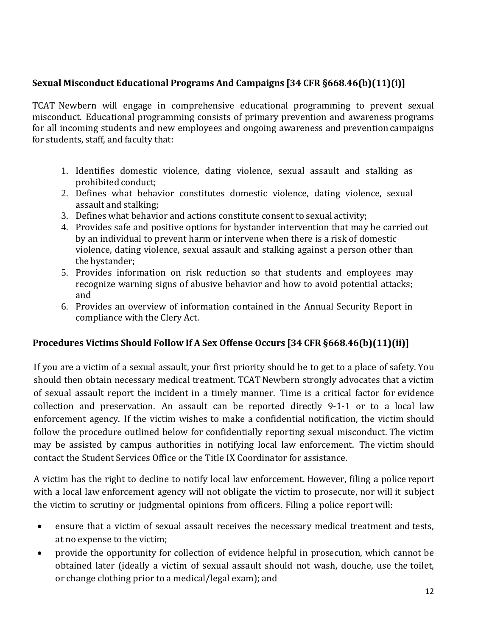# **Sexual Misconduct Educational Programs And Campaigns [34 CFR §668.46(b)(11)(i)]**

TCAT Newbern will engage in comprehensive educational programming to prevent sexual misconduct. Educational programming consists of primary prevention and awareness programs for all incoming students and new employees and ongoing awareness and prevention campaigns for students, staff, and faculty that:

- 1. Identifies domestic violence, dating violence, sexual assault and stalking as prohibited conduct;
- 2. Defines what behavior constitutes domestic violence, dating violence, sexual assault and stalking;
- 3. Defines what behavior and actions constitute consent to sexual activity;
- 4. Provides safe and positive options for bystander intervention that may be carried out by an individual to prevent harm or intervene when there is a risk of domestic violence, dating violence, sexual assault and stalking against a person other than the bystander;
- 5. Provides information on risk reduction so that students and employees may recognize warning signs of abusive behavior and how to avoid potential attacks; and
- 6. Provides an overview of information contained in the Annual Security Report in compliance with the Clery Act.

### **Procedures Victims Should Follow If A Sex Offense Occurs [34 CFR §668.46(b)(11)(ii)]**

If you are a victim of a sexual assault, your first priority should be to get to a place of safety. You should then obtain necessary medical treatment. TCAT Newbern strongly advocates that a victim of sexual assault report the incident in a timely manner. Time is a critical factor for evidence collection and preservation. An assault can be reported directly 9-1-1 or to a local law enforcement agency. If the victim wishes to make a confidential notification, the victim should follow the procedure outlined below for confidentially reporting sexual misconduct. The victim may be assisted by campus authorities in notifying local law enforcement. The victim should contact the Student Services Office or the Title IX Coordinator for assistance.

A victim has the right to decline to notify local law enforcement. However, filing a police report with a local law enforcement agency will not obligate the victim to prosecute, nor will it subject the victim to scrutiny or judgmental opinions from officers. Filing a police report will:

- ensure that a victim of sexual assault receives the necessary medical treatment and tests, at no expense to the victim;
- provide the opportunity for collection of evidence helpful in prosecution, which cannot be obtained later (ideally a victim of sexual assault should not wash, douche, use the toilet, or change clothing prior to a medical/legal exam); and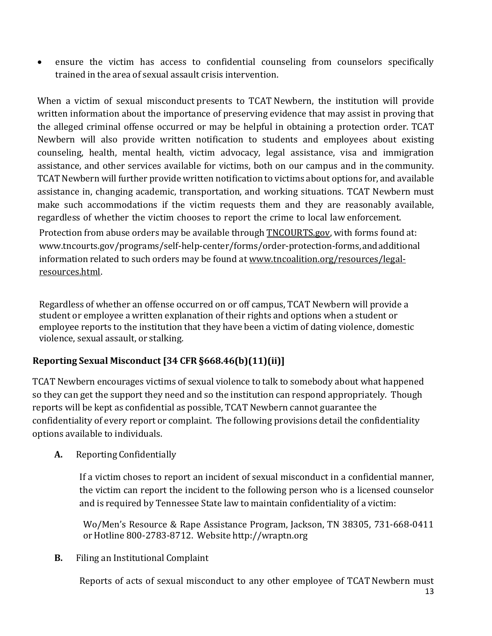ensure the victim has access to confidential counseling from counselors specifically trained in the area of sexual assault crisis intervention.

When a victim of sexual misconduct presents to TCAT Newbern, the institution will provide written information about the importance of preserving evidence that may assist in proving that the alleged criminal offense occurred or may be helpful in obtaining a protection order. TCAT Newbern will also provide written notification to students and employees about existing counseling, health, mental health, victim advocacy, legal assistance, visa and immigration assistance, and other services available for victims, both on our campus and in the community. TCAT Newbern will further provide written notification to victims about options for, and available assistance in, changing academic, transportation, and working situations. TCAT Newbern must make such accommodations if the victim requests them and they are reasonably available, regardless of whether the victim chooses to report the crime to local law enforcement. Protection from abuse orders may be available through [TNCOURTS.gov,](http://www.tncourts.gov/programs/self-help-center/forms/order-protection-forms) with forms found at: [www.tncourts.gov/programs/self-help-center/forms/order-protection-forms,a](http://www.tncourts.gov/programs/self-help-center/forms/order-protection-forms)ndadditional

information related to such orders may be found at [www.tncoalition.org/resources/legal](http://www.tncoalition.org/resources/legal-resources.html)[resources.html.](http://www.tncoalition.org/resources/legal-resources.html)

Regardless of whether an offense occurred on or off campus, TCAT Newbern will provide a student or employee a written explanation of their rights and options when a student or employee reports to the institution that they have been a victim of dating violence, domestic violence, sexual assault, or stalking.

# **Reporting Sexual Misconduct [34 CFR §668.46(b)(11)(ii)]**

TCAT Newbern encourages victims of sexual violence to talk to somebody about what happened so they can get the support they need and so the institution can respond appropriately. Though reports will be kept as confidential as possible, TCAT Newbern cannot guarantee the confidentiality of every report or complaint. The following provisions detail the confidentiality options available to individuals.

# **A.** Reporting Confidentially

If a victim choses to report an incident of sexual misconduct in a confidential manner, the victim can report the incident to the following person who is a licensed counselor and is required by Tennessee State law to maintain confidentiality of a victim:

Wo/Men's Resource & Rape Assistance Program, Jackson, TN 38305, 731-668-0411 or Hotline 800-2783-8712. Website [http://wraptn.org](http://wraptn.org/)

### **B.** Filing an Institutional Complaint

Reports of acts of sexual misconduct to any other employee of TCAT Newbern must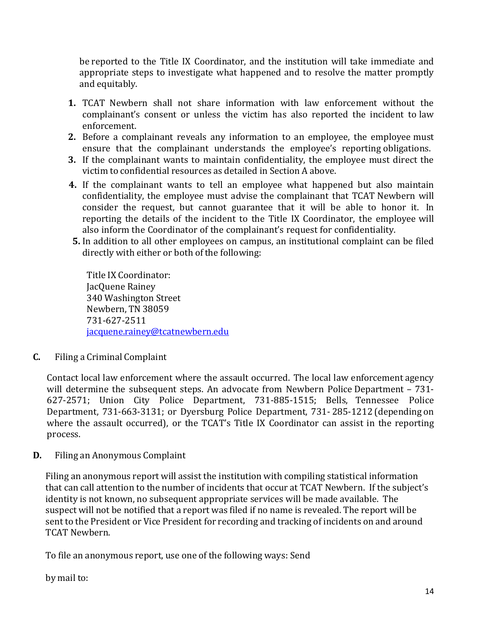be reported to the Title IX Coordinator, and the institution will take immediate and appropriate steps to investigate what happened and to resolve the matter promptly and equitably.

- **1.** TCAT Newbern shall not share information with law enforcement without the complainant's consent or unless the victim has also reported the incident to law enforcement.
- **2.** Before a complainant reveals any information to an employee, the employee must ensure that the complainant understands the employee's reporting obligations.
- **3.** If the complainant wants to maintain confidentiality, the employee must direct the victim to confidential resources as detailed in Section A above.
- **4.** If the complainant wants to tell an employee what happened but also maintain confidentiality, the employee must advise the complainant that TCAT Newbern will consider the request, but cannot guarantee that it will be able to honor it. In reporting the details of the incident to the Title IX Coordinator, the employee will also inform the Coordinator of the complainant's request for confidentiality.
- **5.** In addition to all other employees on campus, an institutional complaint can be filed directly with either or both of the following:

Title IX Coordinator: JacQuene Rainey 340 Washington Street Newbern, TN 38059 731-627-2511 [jacquene.rainey@tcatnewbern.edu](mailto:jacquene.rainey@tcatnewbern.edu)

**C.** Filing a Criminal Complaint

Contact local law enforcement where the assault occurred. The local law enforcement agency will determine the subsequent steps. An advocate from Newbern Police Department – 731-627-2571; Union City Police Department, 731-885-1515; Bells, Tennessee Police Department, 731-663-3131; or Dyersburg Police Department, 731- 285-1212 (depending on where the assault occurred), or the TCAT's Title IX Coordinator can assist in the reporting process.

**D.** Filing an Anonymous Complaint

Filing an anonymous report will assist the institution with compiling statistical information that can call attention to the number of incidents that occur at TCAT Newbern. If the subject's identity is not known, no subsequent appropriate services will be made available. The suspect will not be notified that a report was filed if no name is revealed. The report will be sent to the President or Vice President for recording and tracking of incidents on and around TCAT Newbern.

To file an anonymous report, use one of the following ways: Send

by mail to: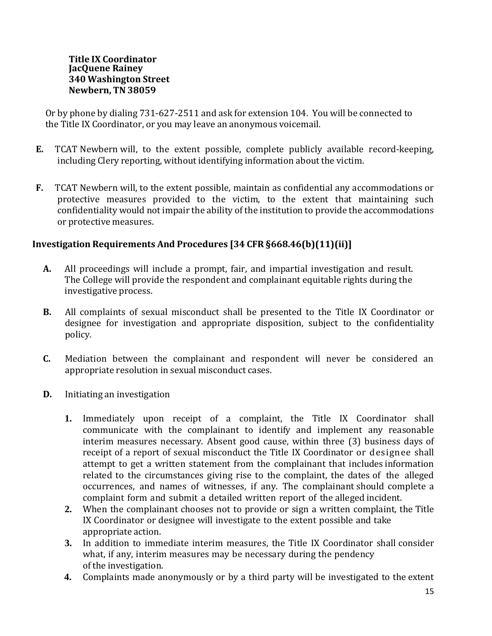#### **Title IX Coordinator JacQuene Rainey 340 Washington Street Newbern, TN 38059**

Or by phone by dialing 731-627-2511 and ask for extension 104. You will be connected to the Title IX Coordinator, or you may leave an anonymous voicemail.

- **E.** TCAT Newbern will, to the extent possible, complete publicly available record-keeping, including Clery reporting, without identifying information about the victim.
- **F.** TCAT Newbern will, to the extent possible, maintain as confidential any accommodations or protective measures provided to the victim, to the extent that maintaining such confidentiality would not impair the ability of the institution to provide the accommodations or protective measures.

### **Investigation Requirements And Procedures [34 CFR §668.46(b)(11)(ii)]**

- **A.** All proceedings will include a prompt, fair, and impartial investigation and result. The College will provide the respondent and complainant equitable rights during the investigative process.
- **B.** All complaints of sexual misconduct shall be presented to the Title IX Coordinator or designee for investigation and appropriate disposition, subject to the confidentiality policy.
- **C.** Mediation between the complainant and respondent will never be considered an appropriate resolution in sexual misconduct cases.
- **D.** Initiating an investigation
	- **1.** Immediately upon receipt of a complaint, the Title IX Coordinator shall communicate with the complainant to identify and implement any reasonable interim measures necessary. Absent good cause, within three (3) business days of receipt of a report of sexual misconduct the Title IX Coordinator or designee shall attempt to get a written statement from the complainant that includes information related to the circumstances giving rise to the complaint, the dates of the alleged occurrences, and names of witnesses, if any. The complainant should complete a complaint form and submit a detailed written report of the alleged incident.
	- **2.** When the complainant chooses not to provide or sign a written complaint, the Title IX Coordinator or designee will investigate to the extent possible and take appropriate action.
	- **3.** In addition to immediate interim measures, the Title IX Coordinator shall consider what, if any, interim measures may be necessary during the pendency of the investigation.
	- **4.** Complaints made anonymously or by a third party will be investigated to the extent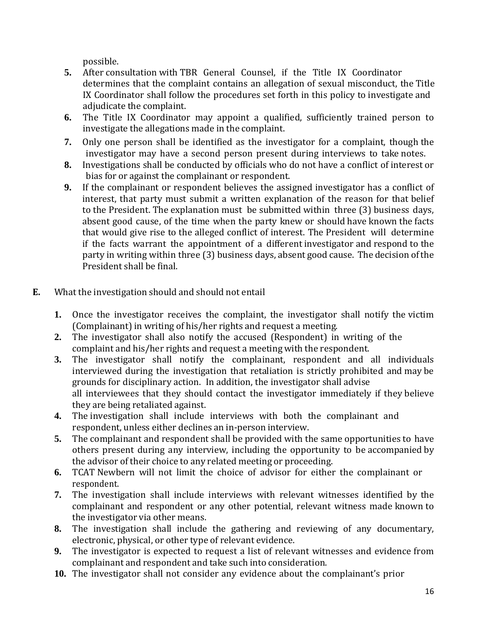possible.

- **5.** After consultation with TBR General Counsel, if the Title IX Coordinator determines that the complaint contains an allegation of sexual misconduct, the Title IX Coordinator shall follow the procedures set forth in this policy to investigate and adjudicate the complaint.
- **6.** The Title IX Coordinator may appoint a qualified, sufficiently trained person to investigate the allegations made in the complaint.
- **7.** Only one person shall be identified as the investigator for a complaint, though the investigator may have a second person present during interviews to take notes.
- **8.** Investigations shall be conducted by officials who do not have a conflict of interest or bias for or against the complainant or respondent.
- **9.** If the complainant or respondent believes the assigned investigator has a conflict of interest, that party must submit a written explanation of the reason for that belief to the President. The explanation must be submitted within three (3) business days, absent good cause, of the time when the party knew or should have known the facts that would give rise to the alleged conflict of interest. The President will determine if the facts warrant the appointment of a different investigator and respond to the party in writing within three (3) business days, absent good cause. The decision ofthe President shall be final.
- **E.** What the investigation should and should not entail
	- **1.** Once the investigator receives the complaint, the investigator shall notify the victim (Complainant) in writing of his/her rights and request a meeting.
	- **2.** The investigator shall also notify the accused (Respondent) in writing of the complaint and his/her rights and request a meeting with the respondent.
	- **3.** The investigator shall notify the complainant, respondent and all individuals interviewed during the investigation that retaliation is strictly prohibited and may be grounds for disciplinary action. In addition, the investigator shall advise all interviewees that they should contact the investigator immediately if they believe they are being retaliated against.
	- **4.** The investigation shall include interviews with both the complainant and respondent, unless either declines an in-person interview.
	- **5.** The complainant and respondent shall be provided with the same opportunities to have others present during any interview, including the opportunity to be accompanied by the advisor of their choice to any related meeting or proceeding.
	- **6.** TCAT Newbern will not limit the choice of advisor for either the complainant or respondent.
	- **7.** The investigation shall include interviews with relevant witnesses identified by the complainant and respondent or any other potential, relevant witness made known to the investigator via other means.
	- **8.** The investigation shall include the gathering and reviewing of any documentary, electronic, physical, or other type of relevant evidence.
	- **9.** The investigator is expected to request a list of relevant witnesses and evidence from complainant and respondent and take such into consideration.
	- **10.** The investigator shall not consider any evidence about the complainant's prior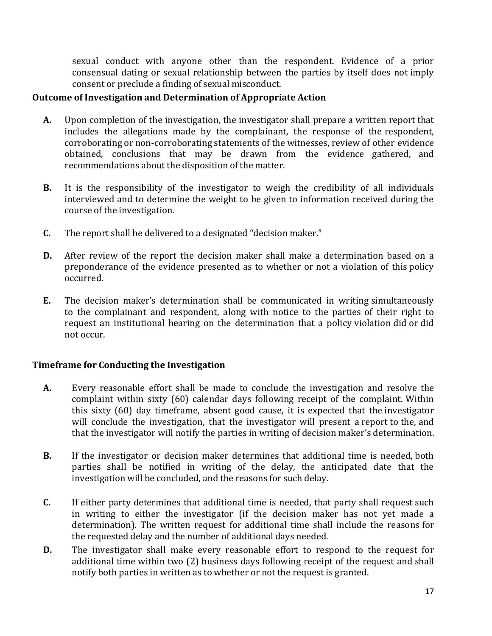sexual conduct with anyone other than the respondent. Evidence of a prior consensual dating or sexual relationship between the parties by itself does not imply consent or preclude a finding of sexual misconduct.

#### **Outcome of Investigation and Determination of Appropriate Action**

- **A.** Upon completion of the investigation, the investigator shall prepare a written report that includes the allegations made by the complainant, the response of the respondent, corroborating or non-corroborating statements of the witnesses, review of other evidence obtained, conclusions that may be drawn from the evidence gathered, and recommendations about the disposition of the matter.
- **B.** It is the responsibility of the investigator to weigh the credibility of all individuals interviewed and to determine the weight to be given to information received during the course of the investigation.
- **C.** The report shall be delivered to a designated "decision maker."
- **D.** After review of the report the decision maker shall make a determination based on a preponderance of the evidence presented as to whether or not a violation of this policy occurred.
- **E.** The decision maker's determination shall be communicated in writing simultaneously to the complainant and respondent, along with notice to the parties of their right to request an institutional hearing on the determination that a policy violation did or did not occur.

### **Timeframe for Conducting the Investigation**

- **A.** Every reasonable effort shall be made to conclude the investigation and resolve the complaint within sixty (60) calendar days following receipt of the complaint. Within this sixty (60) day timeframe, absent good cause, it is expected that the investigator will conclude the investigation, that the investigator will present a report to the, and that the investigator will notify the parties in writing of decision maker's determination.
- **B.** If the investigator or decision maker determines that additional time is needed, both parties shall be notified in writing of the delay, the anticipated date that the investigation will be concluded, and the reasons for such delay.
- **C.** If either party determines that additional time is needed, that party shall request such in writing to either the investigator (if the decision maker has not yet made a determination). The written request for additional time shall include the reasons for the requested delay and the number of additional days needed.
- **D.** The investigator shall make every reasonable effort to respond to the request for additional time within two (2) business days following receipt of the request and shall notify both parties in written as to whether or not the request is granted.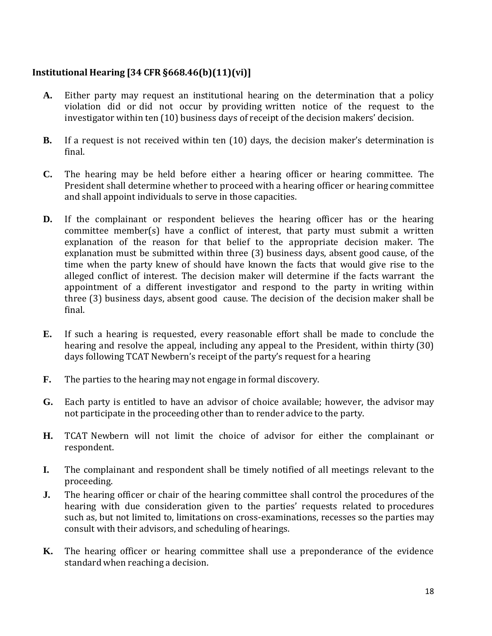# **Institutional Hearing [34 CFR §668.46(b)(11)(vi)]**

- **A.** Either party may request an institutional hearing on the determination that a policy violation did or did not occur by providing written notice of the request to the investigator within ten (10) business days of receipt of the decision makers' decision.
- **B.** If a request is not received within ten (10) days, the decision maker's determination is final.
- **C.** The hearing may be held before either a hearing officer or hearing committee. The President shall determine whether to proceed with a hearing officer or hearing committee and shall appoint individuals to serve in those capacities.
- **D.** If the complainant or respondent believes the hearing officer has or the hearing committee member(s) have a conflict of interest, that party must submit a written explanation of the reason for that belief to the appropriate decision maker. The explanation must be submitted within three (3) business days, absent good cause, of the time when the party knew of should have known the facts that would give rise to the alleged conflict of interest. The decision maker will determine if the facts warrant the appointment of a different investigator and respond to the party in writing within three (3) business days, absent good cause. The decision of the decision maker shall be final.
- **E.** If such a hearing is requested, every reasonable effort shall be made to conclude the hearing and resolve the appeal, including any appeal to the President, within thirty (30) days following TCAT Newbern's receipt of the party's request for a hearing
- **F.** The parties to the hearing may not engage in formal discovery.
- **G.** Each party is entitled to have an advisor of choice available; however, the advisor may not participate in the proceeding other than to render advice to the party.
- **H.** TCAT Newbern will not limit the choice of advisor for either the complainant or respondent.
- **I.** The complainant and respondent shall be timely notified of all meetings relevant to the proceeding.
- **J.** The hearing officer or chair of the hearing committee shall control the procedures of the hearing with due consideration given to the parties' requests related to procedures such as, but not limited to, limitations on cross-examinations, recesses so the parties may consult with their advisors, and scheduling of hearings.
- **K.** The hearing officer or hearing committee shall use a preponderance of the evidence standard when reaching a decision.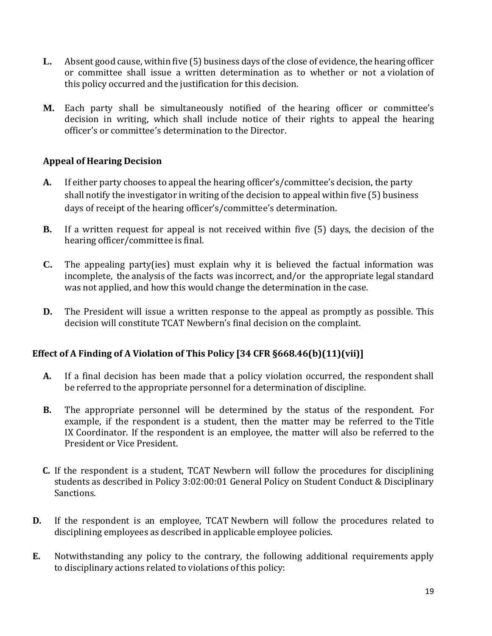- **L.** Absent good cause, within five (5) business days of the close of evidence, the hearing officer or committee shall issue a written determination as to whether or not a violation of this policy occurred and the justification for this decision.
- **M.** Each party shall be simultaneously notified of the hearing officer or committee's decision in writing, which shall include notice of their rights to appeal the hearing officer's or committee's determination to the Director.

### **Appeal of Hearing Decision**

- **A.** If either party chooses to appeal the hearing officer's/committee's decision, the party shall notify the investigator in writing of the decision to appeal within five (5) business days of receipt of the hearing officer's/committee's determination.
- **B.** If a written request for appeal is not received within five (5) days, the decision of the hearing officer/committee is final.
- **C.** The appealing party(ies) must explain why it is believed the factual information was incomplete, the analysis of the facts was incorrect, and/or the appropriate legal standard was not applied, and how this would change the determination in the case.
- **D.** The President will issue a written response to the appeal as promptly as possible. This decision will constitute TCAT Newbern's final decision on the complaint.

### **Effect of A Finding of A Violation of This Policy [34 CFR §668.46(b)(11)(vii)]**

- **A.** If a final decision has been made that a policy violation occurred, the respondent shall be referred to the appropriate personnel for a determination of discipline.
- **B.** The appropriate personnel will be determined by the status of the respondent. For example, if the respondent is a student, then the matter may be referred to the Title IX Coordinator. If the respondent is an employee, the matter will also be referred to the President or Vice President.
- **C.** If the respondent is a student, TCAT Newbern will follow the procedures for disciplining students as described in Policy 3:02:00:01 General Policy on Student Conduct & Disciplinary Sanctions.
- **D.** If the respondent is an employee, TCAT Newbern will follow the procedures related to disciplining employees as described in applicable employee policies.
- **E.** Notwithstanding any policy to the contrary, the following additional requirements apply to disciplinary actions related to violations of this policy: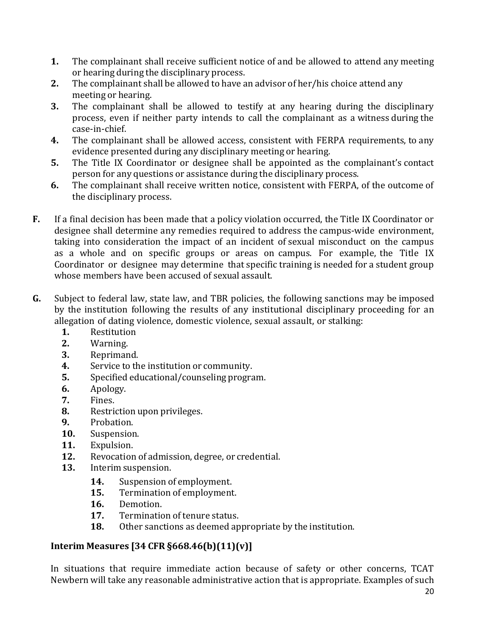- **1.** The complainant shall receive sufficient notice of and be allowed to attend any meeting or hearing during the disciplinary process.
- **2.** The complainant shall be allowed to have an advisor of her/his choice attend any meeting or hearing.
- **3.** The complainant shall be allowed to testify at any hearing during the disciplinary process, even if neither party intends to call the complainant as a witness during the case-in-chief.
- **4.** The complainant shall be allowed access, consistent with FERPA requirements, to any evidence presented during any disciplinary meeting or hearing.
- **5.** The Title IX Coordinator or designee shall be appointed as the complainant's contact person for any questions or assistance during the disciplinary process.
- **6.** The complainant shall receive written notice, consistent with FERPA, of the outcome of the disciplinary process.
- **F.** If a final decision has been made that a policy violation occurred, the Title IX Coordinator or designee shall determine any remedies required to address the campus-wide environment, taking into consideration the impact of an incident of sexual misconduct on the campus as a whole and on specific groups or areas on campus. For example, the Title IX Coordinator or designee may determine that specific training is needed for a student group whose members have been accused of sexual assault.
- **G.** Subject to federal law, state law, and TBR policies, the following sanctions may be imposed by the institution following the results of any institutional disciplinary proceeding for an allegation of dating violence, domestic violence, sexual assault, or stalking:
	- **1.** Restitution
	- **2.** Warning.
	- **3.** Reprimand.
	- **4.** Service to the institution or community.
	- **5.** Specified educational/counseling program.
	- **6.** Apology.
	- **7.** Fines.
	- **8.** Restriction upon privileges.
	- **9.** Probation.
	- **10.** Suspension.
	- **11.** Expulsion.
	- **12.** Revocation of admission, degree, or credential.
	- **13.** Interim suspension.
		- **14.** Suspension of employment.
		- **15.** Termination of employment.
		- **16.** Demotion.
		- **17.** Termination of tenure status.
		- **18.** Other sanctions as deemed appropriate by the institution.

# **Interim Measures [34 CFR §668.46(b)(11)(v)]**

In situations that require immediate action because of safety or other concerns, TCAT Newbern will take any reasonable administrative action that is appropriate. Examples of such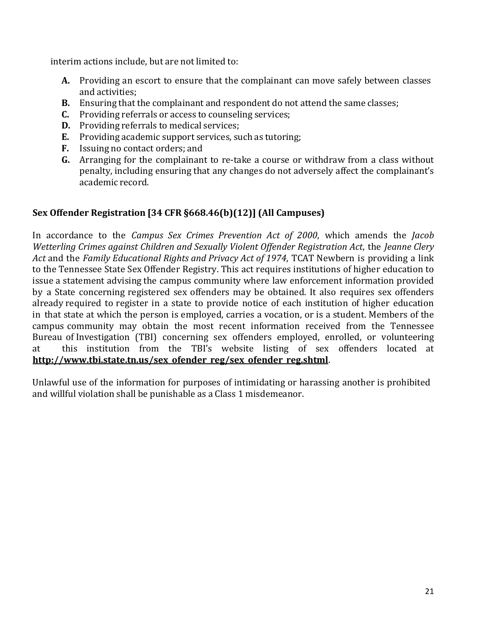interim actions include, but are not limited to:

- **A.** Providing an escort to ensure that the complainant can move safely between classes and activities;
- **B.** Ensuring that the complainant and respondent do not attend the same classes;
- **C.** Providing referrals or access to counseling services;
- **D.** Providing referrals to medical services;
- **E.** Providing academic support services, such as tutoring;
- **F.** Issuing no contact orders; and
- **G.** Arranging for the complainant to re-take a course or withdraw from a class without penalty, including ensuring that any changes do not adversely affect the complainant's academic record.

### **Sex Offender Registration [34 CFR §668.46(b)(12)] (All Campuses)**

In accordance to the *Campus Sex Crimes Prevention Act of 2000*, which amends the *Jacob Wetterling Crimes against Children and Sexually Violent Offender Registration Act*, the *Jeanne Clery Act* and the *Family Educational Rights and Privacy Act of 1974*, TCAT Newbern is providing a link to the Tennessee State Sex Offender Registry. This act requires institutions of higher education to issue a statement advising the campus community where law enforcement information provided by a State concerning registered sex offenders may be obtained. It also requires sex offenders already required to register in a state to provide notice of each institution of higher education in that state at which the person is employed, carries a vocation, or is a student. Members of the campus community may obtain the most recent information received from the Tennessee Bureau of Investigation (TBI) concerning sex offenders employed, enrolled, or volunteering at this institution from the TBI's website listing of sex offenders located at **[http://www.tbi.state.tn.us/sex\\_ofender\\_reg/sex\\_ofender\\_reg.shtml](http://www.tbi.state.tn.us/sex_ofender_reg/sex_ofender_reg.shtml)**.

Unlawful use of the information for purposes of intimidating or harassing another is prohibited and willful violation shall be punishable as a Class 1 misdemeanor.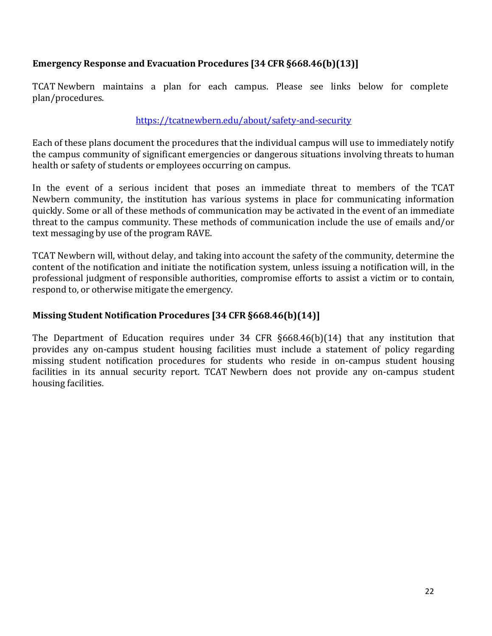### **Emergency Response and Evacuation Procedures [34 CFR §668.46(b)(13)]**

TCAT Newbern maintains a plan for each campus. Please see links below for complete plan/procedures.

#### <https://tcatnewbern.edu/about/safety-and-security>

Each of these plans document the procedures that the individual campus will use to immediately notify the campus community of significant emergencies or dangerous situations involving threats to human health or safety of students or employees occurring on campus.

In the event of a serious incident that poses an immediate threat to members of the TCAT Newbern community, the institution has various systems in place for communicating information quickly. Some or all of these methods of communication may be activated in the event of an immediate threat to the campus community. These methods of communication include the use of emails and/or text messaging by use of the program RAVE.

TCAT Newbern will, without delay, and taking into account the safety of the community, determine the content of the notification and initiate the notification system, unless issuing a notification will, in the professional judgment of responsible authorities, compromise efforts to assist a victim or to contain, respond to, or otherwise mitigate the emergency.

### **Missing Student Notification Procedures [34 CFR §668.46(b)(14)]**

The Department of Education requires under 34 CFR §668.46(b)(14) that any institution that provides any on-campus student housing facilities must include a statement of policy regarding missing student notification procedures for students who reside in on-campus student housing facilities in its annual security report. TCAT Newbern does not provide any on-campus student housing facilities.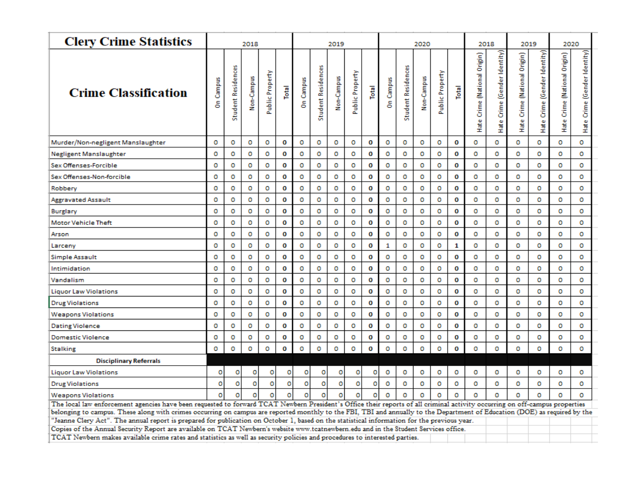| <b>Clery Crime Statistics</b>                                                                                                               | 2018             |                           |            |                 |       |           |                           | 2019       |                 |       |           |                                                                                                                                                                                                                                                                                                                                                                   |            |                 |       | 2018                                        |                                      | 2019                         |                              |                              |                              |  |  |  |
|---------------------------------------------------------------------------------------------------------------------------------------------|------------------|---------------------------|------------|-----------------|-------|-----------|---------------------------|------------|-----------------|-------|-----------|-------------------------------------------------------------------------------------------------------------------------------------------------------------------------------------------------------------------------------------------------------------------------------------------------------------------------------------------------------------------|------------|-----------------|-------|---------------------------------------------|--------------------------------------|------------------------------|------------------------------|------------------------------|------------------------------|--|--|--|
| <b>Crime Classification</b>                                                                                                                 | <b>Dn</b> Campus | <b>Student Residences</b> | Non-Campus | Public Property | Total | On Campus | <b>Student Residences</b> | Non-Campus | Public Property | Total | On Campus | <b>Student Residences</b>                                                                                                                                                                                                                                                                                                                                         | Non-Campus | Public Property | Total | Crime (National Origin)<br>H <sub>ate</sub> | Crime (Gender Identity)<br>Hate<br>H | Hate Crime (National Origin) | Hate Crime (Gender Identity) | Hate Crime (National Origin) | Hate Crime (Gender Identity) |  |  |  |
| Murder/Non-negligent Manslaughter                                                                                                           | o                | o                         | ٥          | o               | 0     | o         | o                         | o          | 0               | 0     | о         | o                                                                                                                                                                                                                                                                                                                                                                 | o          | o               | 0     | o                                           | Ō                                    | Ō                            | o                            | o                            | Ō                            |  |  |  |
| Negligent Manslaughter                                                                                                                      | o                | o                         | o          | o               | O     | o         | o                         | o          | o               | 0     | o         | o                                                                                                                                                                                                                                                                                                                                                                 | o          | o               | 0     | o                                           | o                                    | o                            | o                            | o                            | o                            |  |  |  |
| Sex Offenses-Forcible                                                                                                                       | o                | o                         | o          | o               | O     | o         | o                         | o          | o               | O     | Ō         | o                                                                                                                                                                                                                                                                                                                                                                 | o          | o               | 0     | Ō                                           | Ō                                    | Ō                            | o                            | o                            | o                            |  |  |  |
| Sex Offenses-Non-forcible                                                                                                                   | o                | o                         | o          | o               | 0     | o         | o                         | o          | o               | 0     | o         | o                                                                                                                                                                                                                                                                                                                                                                 | o          | o               | 0     | o                                           | o                                    | o                            | o                            | o                            | o                            |  |  |  |
| Robbery                                                                                                                                     | o                | o                         | o          | o               | O     | o         | o                         | Ō          | o               | 0     | o         | o                                                                                                                                                                                                                                                                                                                                                                 | o          | o               | O     | o                                           | o                                    | o                            | o                            | o                            | o                            |  |  |  |
| Aggravated Assault                                                                                                                          | o                | o                         | o          | o               | o     | o         | Ō                         | Ō          | o               | o     | Ō         | o                                                                                                                                                                                                                                                                                                                                                                 | o          | o               | o     | o                                           | o                                    | o                            | o                            | o                            | o                            |  |  |  |
| Burglary                                                                                                                                    | o                | o                         | o          | o               | o     | o         | o                         | Ō          | o               | o     | o         | o                                                                                                                                                                                                                                                                                                                                                                 | o          | o               | 0     | o                                           | o                                    | o                            | o                            | o                            | o                            |  |  |  |
| <b>Motor Vehicle Theft</b>                                                                                                                  | o                | o                         | Ō          | o               | o     | o         | o                         | o          | o               | o     | ō         | $\mathbf 0$                                                                                                                                                                                                                                                                                                                                                       | o          | Ō               | o     | o                                           | o                                    | Ō                            | o                            | o                            | o                            |  |  |  |
| Arson                                                                                                                                       | o                | o                         | Ō          | o               | O     | o         | o                         | o          | o               | 0     | ō         | o                                                                                                                                                                                                                                                                                                                                                                 | Ō          | o               | 0     | o                                           | o                                    | Ō                            | o                            | o                            | o                            |  |  |  |
| Larceny                                                                                                                                     | o                | o                         | o          | o               | 0     | o         | o                         | o          | o               | 0     | 1         | o                                                                                                                                                                                                                                                                                                                                                                 | o          | o               | 1     | o                                           | o                                    | o                            | o                            | o                            | o                            |  |  |  |
| Simple Assault                                                                                                                              | o                | o                         | ٥          | o               | o     | o         | o                         | o          | o               | o     | o         | o                                                                                                                                                                                                                                                                                                                                                                 | o          | o               | o     | o                                           | o                                    | o                            | o                            | o                            | o                            |  |  |  |
| Intimidation                                                                                                                                | o                | o                         | o          | o               | 0     | o         | o                         | o          | o               | O     | o         | o                                                                                                                                                                                                                                                                                                                                                                 | o          | o               | 0     | o                                           | o                                    | o                            | o                            | o                            | o                            |  |  |  |
| Vandalism                                                                                                                                   | o                | o                         | o          | o               | o     | o         | o                         | Ō          | o               | o     | Ō         | o                                                                                                                                                                                                                                                                                                                                                                 | o          | o               | o     | o                                           | o                                    | Ō                            | o                            | o                            | o                            |  |  |  |
| <b>Liquor Law Violations</b>                                                                                                                | o                | o                         | Ō          | o               | O     | o         | o                         | o          | o               | O     | o         | o                                                                                                                                                                                                                                                                                                                                                                 | o          | o               | 0     | o                                           | o                                    | o                            | o                            | o                            | o                            |  |  |  |
| <b>Drug Violations</b>                                                                                                                      | o                | o                         | ٥          | o               | O     | o         | o                         | o          | o               | 0     | o         | o                                                                                                                                                                                                                                                                                                                                                                 | o          | o               | 0     | o                                           | o                                    | o                            | o                            | o                            | o                            |  |  |  |
| <b>Weapons Violations</b>                                                                                                                   | o                | o                         | o          | o               | 0     | o         | o                         | Ō          | o               | O     | Ō         | o                                                                                                                                                                                                                                                                                                                                                                 | o          | o               | O     | o                                           | o                                    | Ō                            | o                            | o                            | o                            |  |  |  |
| <b>Dating Violence</b>                                                                                                                      | o                | o                         | o          | o               | O     | o         | o                         | o          | o               | O     | o         | o                                                                                                                                                                                                                                                                                                                                                                 | o          | o               | 0     | o                                           | o                                    | o                            | o                            | o                            | o                            |  |  |  |
| <b>Domestic Violence</b>                                                                                                                    | o                | Ō                         | Ō          | o               | O     | o         | o                         | o          | o               | 0     | o         | o                                                                                                                                                                                                                                                                                                                                                                 | Ō          | o               | o     | o                                           | o                                    | Ō                            | o                            | o                            | o                            |  |  |  |
| <b>Stalking</b>                                                                                                                             | o                | o                         | o          | o               | 0     | o         | Ō                         | o          | o               | 0     | o         | o                                                                                                                                                                                                                                                                                                                                                                 | o          | o               | 0     | o                                           | o                                    | Ō                            | o                            | o                            | o                            |  |  |  |
| <b>Disciplinary Referrals</b>                                                                                                               |                  |                           |            |                 |       |           |                           |            |                 |       |           |                                                                                                                                                                                                                                                                                                                                                                   |            |                 |       |                                             |                                      |                              |                              |                              |                              |  |  |  |
| <b>Liquor Law Violations</b>                                                                                                                | o                | o                         | o          | ٥               | o     | o         | 0                         | o          | 0               | ٥     | o         | o                                                                                                                                                                                                                                                                                                                                                                 | o          | o               | o     | о                                           | o                                    | 0                            | o                            | o                            | o                            |  |  |  |
| <b>Drug Violations</b>                                                                                                                      | o                | o                         | $\circ$    | o               | o     | $\circ$   | o                         | o          | Ō               | Ō     | o         | o                                                                                                                                                                                                                                                                                                                                                                 | o          | o               | o     | o                                           | o                                    | o                            | o                            | o                            | o                            |  |  |  |
| <b>Weapons Violations</b>                                                                                                                   | o                | o                         | o          | o               | o     | o         | o                         | о          | o               | ٥     | o         | o                                                                                                                                                                                                                                                                                                                                                                 | 0          | o               | o     | o                                           | o                                    | o                            | $\Omega$                     | o                            | o                            |  |  |  |
|                                                                                                                                             |                  |                           |            |                 |       |           |                           |            |                 |       |           |                                                                                                                                                                                                                                                                                                                                                                   |            |                 |       |                                             | 2020                                 |                              |                              |                              |                              |  |  |  |
| "Jeanne Clery Act". The annual report is prepared for publication on October 1, based on the statistical information for the previous year. |                  |                           |            |                 |       |           |                           |            |                 |       |           | 2020<br>The local law enforcement agencies have been requested to forward TCAT Newbern President's Office their reports of all criminal activity occurring on off-campus properties<br>belonging to campus. These along with crimes occurring on campus are reported monthly to the FBI, TBI and annually to the Department of Education (DOE) as required by the |            |                 |       |                                             |                                      |                              |                              |                              |                              |  |  |  |
| Copies of the Annual Security Report are available on TCAT Newbern's website www.tcatnewbern.edu and in the Student Services office.        |                  |                           |            |                 |       |           |                           |            |                 |       |           |                                                                                                                                                                                                                                                                                                                                                                   |            |                 |       |                                             |                                      |                              |                              |                              |                              |  |  |  |
| TCAT Newbern makes available crime rates and statistics as well as security policies and procedures to interested parties.                  |                  |                           |            |                 |       |           |                           |            |                 |       |           |                                                                                                                                                                                                                                                                                                                                                                   |            |                 |       |                                             |                                      |                              |                              |                              |                              |  |  |  |